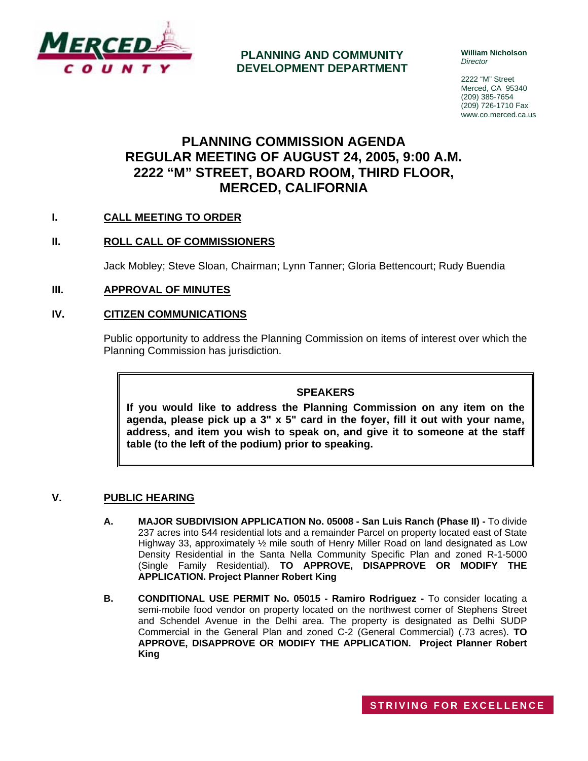

**PLANNING AND COMMUNITY DEVELOPMENT DEPARTMENT** **William Nicholson**  *Director* 

2222 "M" Street Merced, CA 95340 (209) 385-7654 (209) 726-1710 Fax www.co.merced.ca.us

# **PLANNING COMMISSION AGENDA REGULAR MEETING OF AUGUST 24, 2005, 9:00 A.M. 2222 "M" STREET, BOARD ROOM, THIRD FLOOR, MERCED, CALIFORNIA**

# **I. CALL MEETING TO ORDER**

# **II. ROLL CALL OF COMMISSIONERS**

Jack Mobley; Steve Sloan, Chairman; Lynn Tanner; Gloria Bettencourt; Rudy Buendia

# **III. APPROVAL OF MINUTES**

#### **IV. CITIZEN COMMUNICATIONS**

Public opportunity to address the Planning Commission on items of interest over which the Planning Commission has jurisdiction.

#### **SPEAKERS**

**If you would like to address the Planning Commission on any item on the agenda, please pick up a 3" x 5" card in the foyer, fill it out with your name, address, and item you wish to speak on, and give it to someone at the staff table (to the left of the podium) prior to speaking.**

#### **V. PUBLIC HEARING**

- **A. MAJOR SUBDIVISION APPLICATION No. 05008 San Luis Ranch (Phase II)** To divide 237 acres into 544 residential lots and a remainder Parcel on property located east of State Highway 33, approximately ½ mile south of Henry Miller Road on land designated as Low Density Residential in the Santa Nella Community Specific Plan and zoned R-1-5000 (Single Family Residential). **TO APPROVE, DISAPPROVE OR MODIFY THE APPLICATION. Project Planner Robert King**
- **B. CONDITIONAL USE PERMIT No. 05015 Ramiro Rodriguez** To consider locating a semi-mobile food vendor on property located on the northwest corner of Stephens Street and Schendel Avenue in the Delhi area. The property is designated as Delhi SUDP Commercial in the General Plan and zoned C-2 (General Commercial) (.73 acres). **TO APPROVE, DISAPPROVE OR MODIFY THE APPLICATION. Project Planner Robert King**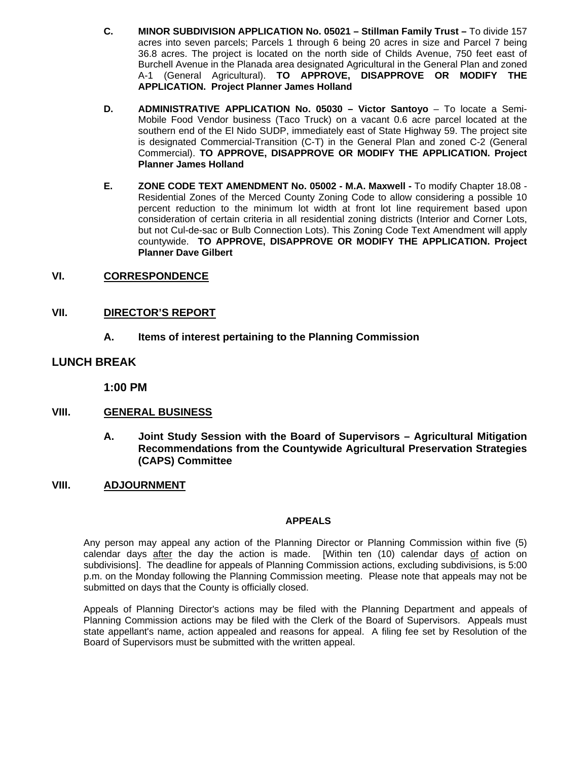- **C. MINOR SUBDIVISION APPLICATION No. 05021 Stillman Family Trust –** To divide 157 acres into seven parcels; Parcels 1 through 6 being 20 acres in size and Parcel 7 being 36.8 acres. The project is located on the north side of Childs Avenue, 750 feet east of Burchell Avenue in the Planada area designated Agricultural in the General Plan and zoned A-1 (General Agricultural). **TO APPROVE, DISAPPROVE OR MODIFY THE APPLICATION. Project Planner James Holland**
- **D. ADMINISTRATIVE APPLICATION No. 05030 Victor Santoyo** To locate a Semi-Mobile Food Vendor business (Taco Truck) on a vacant 0.6 acre parcel located at the southern end of the El Nido SUDP, immediately east of State Highway 59. The project site is designated Commercial-Transition (C-T) in the General Plan and zoned C-2 (General Commercial). **TO APPROVE, DISAPPROVE OR MODIFY THE APPLICATION. Project Planner James Holland**
- **E. ZONE CODE TEXT AMENDMENT No. 05002 M.A. Maxwell** To modify Chapter 18.08 Residential Zones of the Merced County Zoning Code to allow considering a possible 10 percent reduction to the minimum lot width at front lot line requirement based upon consideration of certain criteria in all residential zoning districts (Interior and Corner Lots, but not Cul-de-sac or Bulb Connection Lots). This Zoning Code Text Amendment will apply countywide. **TO APPROVE, DISAPPROVE OR MODIFY THE APPLICATION. Project Planner Dave Gilbert**

#### **VI. CORRESPONDENCE**

# **VII. DIRECTOR'S REPORT**

 **A. Items of interest pertaining to the Planning Commission** 

# **LUNCH BREAK**

**1:00 PM**

# **VIII. GENERAL BUSINESS**

 **A. Joint Study Session with the Board of Supervisors – Agricultural Mitigation Recommendations from the Countywide Agricultural Preservation Strategies (CAPS) Committee** 

#### **VIII. ADJOURNMENT**

#### **APPEALS**

Any person may appeal any action of the Planning Director or Planning Commission within five (5) calendar days after the day the action is made. [Within ten (10) calendar days of action on subdivisions]. The deadline for appeals of Planning Commission actions, excluding subdivisions, is 5:00 p.m. on the Monday following the Planning Commission meeting. Please note that appeals may not be submitted on days that the County is officially closed.

Appeals of Planning Director's actions may be filed with the Planning Department and appeals of Planning Commission actions may be filed with the Clerk of the Board of Supervisors. Appeals must state appellant's name, action appealed and reasons for appeal. A filing fee set by Resolution of the Board of Supervisors must be submitted with the written appeal.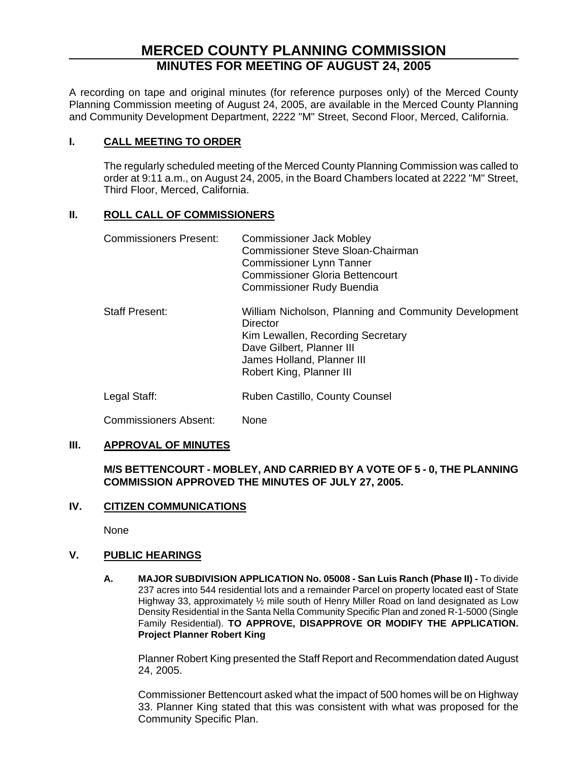# **MERCED COUNTY PLANNING COMMISSION MINUTES FOR MEETING OF AUGUST 24, 2005**

A recording on tape and original minutes (for reference purposes only) of the Merced County Planning Commission meeting of August 24, 2005, are available in the Merced County Planning and Community Development Department, 2222 "M" Street, Second Floor, Merced, California.

# **I. CALL MEETING TO ORDER**

The regularly scheduled meeting of the Merced County Planning Commission was called to order at 9:11 a.m., on August 24, 2005, in the Board Chambers located at 2222 "M" Street, Third Floor, Merced, California.

# **II. ROLL CALL OF COMMISSIONERS**

| <b>Commissioners Present:</b> | <b>Commissioner Jack Mobley</b><br><b>Commissioner Steve Sloan-Chairman</b><br><b>Commissioner Lynn Tanner</b><br><b>Commissioner Gloria Bettencourt</b><br><b>Commissioner Rudy Buendia</b>  |
|-------------------------------|-----------------------------------------------------------------------------------------------------------------------------------------------------------------------------------------------|
| <b>Staff Present:</b>         | William Nicholson, Planning and Community Development<br>Director<br>Kim Lewallen, Recording Secretary<br>Dave Gilbert, Planner III<br>James Holland, Planner III<br>Robert King, Planner III |
| Legal Staff:                  | Ruben Castillo, County Counsel                                                                                                                                                                |

Commissioners Absent: None

# **III. APPROVAL OF MINUTES**

# **M/S BETTENCOURT - MOBLEY, AND CARRIED BY A VOTE OF 5 - 0, THE PLANNING COMMISSION APPROVED THE MINUTES OF JULY 27, 2005.**

# **IV. CITIZEN COMMUNICATIONS**

None

# **V. PUBLIC HEARINGS**

**A. MAJOR SUBDIVISION APPLICATION No. 05008 - San Luis Ranch (Phase II) -** To divide 237 acres into 544 residential lots and a remainder Parcel on property located east of State Highway 33, approximately ½ mile south of Henry Miller Road on land designated as Low Density Residential in the Santa Nella Community Specific Plan and zoned R-1-5000 (Single Family Residential). **TO APPROVE, DISAPPROVE OR MODIFY THE APPLICATION. Project Planner Robert King** 

Planner Robert King presented the Staff Report and Recommendation dated August 24, 2005.

Commissioner Bettencourt asked what the impact of 500 homes will be on Highway 33. Planner King stated that this was consistent with what was proposed for the Community Specific Plan.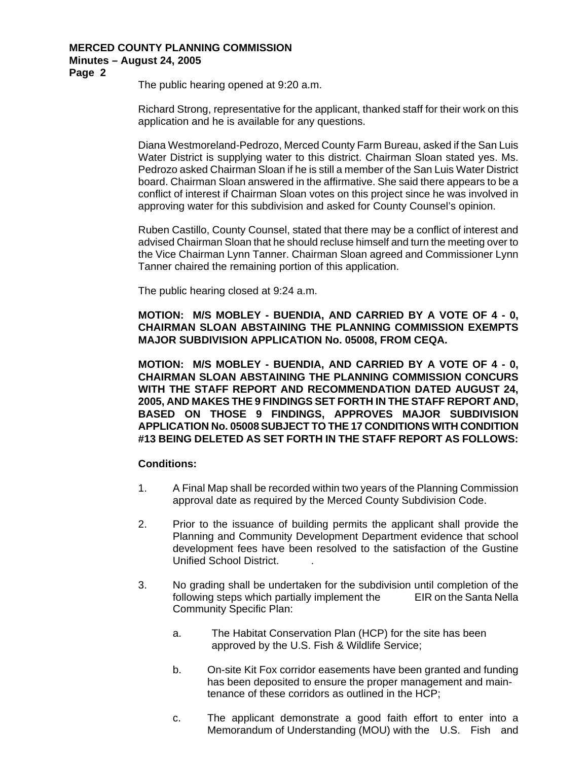# **MERCED COUNTY PLANNING COMMISSION Minutes – August 24, 2005**

**Page 2** 

The public hearing opened at 9:20 a.m.

Richard Strong, representative for the applicant, thanked staff for their work on this application and he is available for any questions.

Diana Westmoreland-Pedrozo, Merced County Farm Bureau, asked if the San Luis Water District is supplying water to this district. Chairman Sloan stated yes. Ms. Pedrozo asked Chairman Sloan if he is still a member of the San Luis Water District board. Chairman Sloan answered in the affirmative. She said there appears to be a conflict of interest if Chairman Sloan votes on this project since he was involved in approving water for this subdivision and asked for County Counsel's opinion.

Ruben Castillo, County Counsel, stated that there may be a conflict of interest and advised Chairman Sloan that he should recluse himself and turn the meeting over to the Vice Chairman Lynn Tanner. Chairman Sloan agreed and Commissioner Lynn Tanner chaired the remaining portion of this application.

The public hearing closed at 9:24 a.m.

**MOTION: M/S MOBLEY - BUENDIA, AND CARRIED BY A VOTE OF 4 - 0, CHAIRMAN SLOAN ABSTAINING THE PLANNING COMMISSION EXEMPTS MAJOR SUBDIVISION APPLICATION No. 05008, FROM CEQA.** 

**MOTION: M/S MOBLEY - BUENDIA, AND CARRIED BY A VOTE OF 4 - 0, CHAIRMAN SLOAN ABSTAINING THE PLANNING COMMISSION CONCURS WITH THE STAFF REPORT AND RECOMMENDATION DATED AUGUST 24, 2005, AND MAKES THE 9 FINDINGS SET FORTH IN THE STAFF REPORT AND, BASED ON THOSE 9 FINDINGS, APPROVES MAJOR SUBDIVISION APPLICATION No. 05008 SUBJECT TO THE 17 CONDITIONS WITH CONDITION #13 BEING DELETED AS SET FORTH IN THE STAFF REPORT AS FOLLOWS:** 

# **Conditions:**

- 1. A Final Map shall be recorded within two years of the Planning Commission approval date as required by the Merced County Subdivision Code.
- 2. Prior to the issuance of building permits the applicant shall provide the Planning and Community Development Department evidence that school development fees have been resolved to the satisfaction of the Gustine Unified School District. .
- 3. No grading shall be undertaken for the subdivision until completion of the following steps which partially implement the EIR on the Santa Nella Community Specific Plan:
	- a. The Habitat Conservation Plan (HCP) for the site has been approved by the U.S. Fish & Wildlife Service;
	- b. On-site Kit Fox corridor easements have been granted and funding has been deposited to ensure the proper management and main tenance of these corridors as outlined in the HCP;
	- c. The applicant demonstrate a good faith effort to enter into a Memorandum of Understanding (MOU) with the U.S. Fish and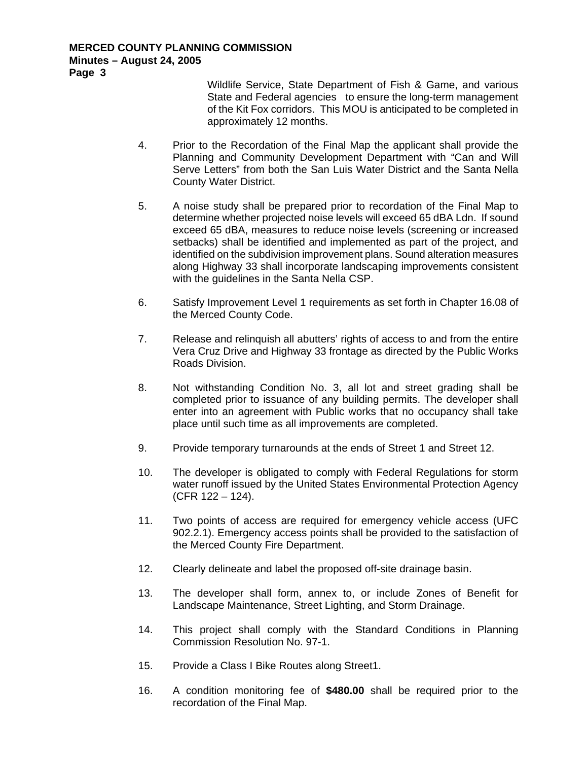Wildlife Service, State Department of Fish & Game, and various State and Federal agencies to ensure the long-term management of the Kit Fox corridors. This MOU is anticipated to be completed in approximately 12 months.

- 4. Prior to the Recordation of the Final Map the applicant shall provide the Planning and Community Development Department with "Can and Will Serve Letters" from both the San Luis Water District and the Santa Nella County Water District.
- 5. A noise study shall be prepared prior to recordation of the Final Map to determine whether projected noise levels will exceed 65 dBA Ldn. If sound exceed 65 dBA, measures to reduce noise levels (screening or increased setbacks) shall be identified and implemented as part of the project, and identified on the subdivision improvement plans. Sound alteration measures along Highway 33 shall incorporate landscaping improvements consistent with the guidelines in the Santa Nella CSP.
- 6. Satisfy Improvement Level 1 requirements as set forth in Chapter 16.08 of the Merced County Code.
- 7. Release and relinquish all abutters' rights of access to and from the entire Vera Cruz Drive and Highway 33 frontage as directed by the Public Works Roads Division.
- 8. Not withstanding Condition No. 3, all lot and street grading shall be completed prior to issuance of any building permits. The developer shall enter into an agreement with Public works that no occupancy shall take place until such time as all improvements are completed.
- 9. Provide temporary turnarounds at the ends of Street 1 and Street 12.
- 10. The developer is obligated to comply with Federal Regulations for storm water runoff issued by the United States Environmental Protection Agency (CFR 122 – 124).
- 11. Two points of access are required for emergency vehicle access (UFC 902.2.1). Emergency access points shall be provided to the satisfaction of the Merced County Fire Department.
- 12. Clearly delineate and label the proposed off-site drainage basin.
- 13. The developer shall form, annex to, or include Zones of Benefit for Landscape Maintenance, Street Lighting, and Storm Drainage.
- 14. This project shall comply with the Standard Conditions in Planning Commission Resolution No. 97-1.
- 15. Provide a Class I Bike Routes along Street1.
- 16. A condition monitoring fee of **\$480.00** shall be required prior to the recordation of the Final Map.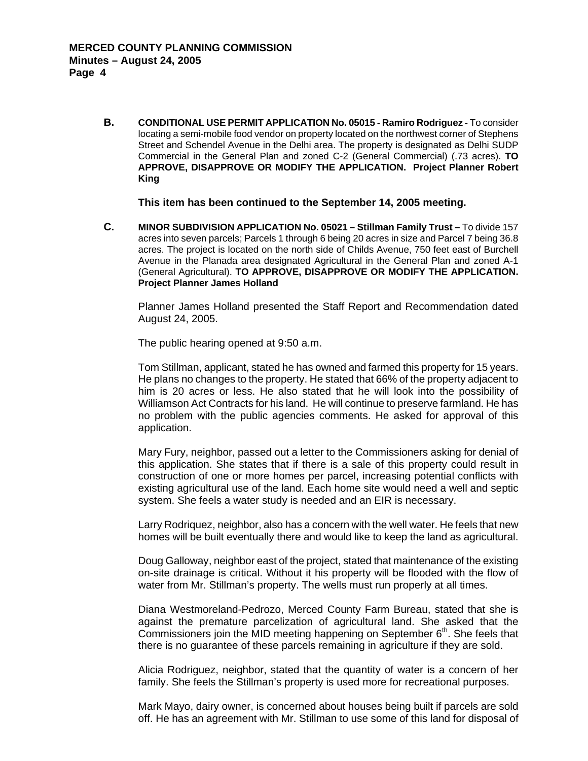**B. CONDITIONAL USE PERMIT APPLICATION No. 05015 - Ramiro Rodriguez -** To consider locating a semi-mobile food vendor on property located on the northwest corner of Stephens Street and Schendel Avenue in the Delhi area. The property is designated as Delhi SUDP Commercial in the General Plan and zoned C-2 (General Commercial) (.73 acres). **TO APPROVE, DISAPPROVE OR MODIFY THE APPLICATION. Project Planner Robert King**

**This item has been continued to the September 14, 2005 meeting.** 

**C. MINOR SUBDIVISION APPLICATION No. 05021 – Stillman Family Trust –** To divide 157 acres into seven parcels; Parcels 1 through 6 being 20 acres in size and Parcel 7 being 36.8 acres. The project is located on the north side of Childs Avenue, 750 feet east of Burchell Avenue in the Planada area designated Agricultural in the General Plan and zoned A-1 (General Agricultural). **TO APPROVE, DISAPPROVE OR MODIFY THE APPLICATION. Project Planner James Holland** 

Planner James Holland presented the Staff Report and Recommendation dated August 24, 2005.

The public hearing opened at 9:50 a.m.

Tom Stillman, applicant, stated he has owned and farmed this property for 15 years. He plans no changes to the property. He stated that 66% of the property adjacent to him is 20 acres or less. He also stated that he will look into the possibility of Williamson Act Contracts for his land. He will continue to preserve farmland. He has no problem with the public agencies comments. He asked for approval of this application.

Mary Fury, neighbor, passed out a letter to the Commissioners asking for denial of this application. She states that if there is a sale of this property could result in construction of one or more homes per parcel, increasing potential conflicts with existing agricultural use of the land. Each home site would need a well and septic system. She feels a water study is needed and an EIR is necessary.

Larry Rodriquez, neighbor, also has a concern with the well water. He feels that new homes will be built eventually there and would like to keep the land as agricultural.

Doug Galloway, neighbor east of the project, stated that maintenance of the existing on-site drainage is critical. Without it his property will be flooded with the flow of water from Mr. Stillman's property. The wells must run properly at all times.

Diana Westmoreland-Pedrozo, Merced County Farm Bureau, stated that she is against the premature parcelization of agricultural land. She asked that the Commissioners join the MID meeting happening on September  $6<sup>th</sup>$ . She feels that there is no guarantee of these parcels remaining in agriculture if they are sold.

Alicia Rodriguez, neighbor, stated that the quantity of water is a concern of her family. She feels the Stillman's property is used more for recreational purposes.

Mark Mayo, dairy owner, is concerned about houses being built if parcels are sold off. He has an agreement with Mr. Stillman to use some of this land for disposal of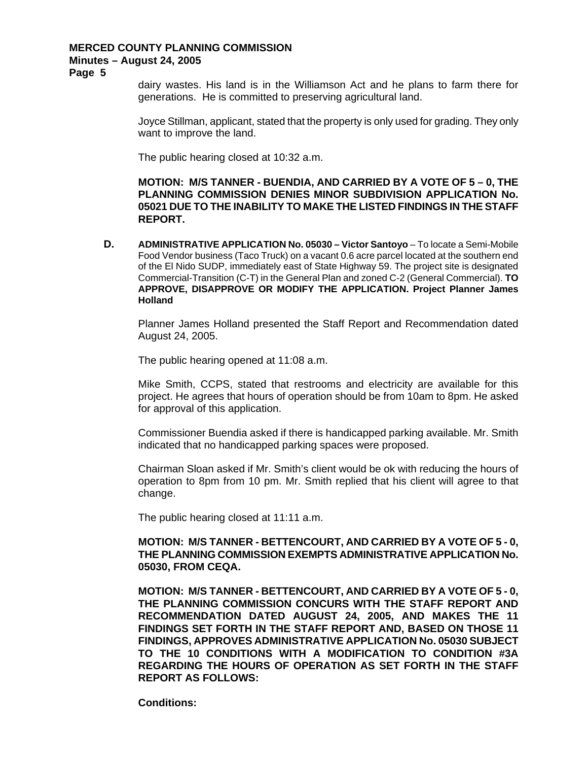#### **MERCED COUNTY PLANNING COMMISSION Minutes – August 24, 2005**

**Page 5** 

dairy wastes. His land is in the Williamson Act and he plans to farm there for generations. He is committed to preserving agricultural land.

Joyce Stillman, applicant, stated that the property is only used for grading. They only want to improve the land.

The public hearing closed at 10:32 a.m.

**MOTION: M/S TANNER - BUENDIA, AND CARRIED BY A VOTE OF 5 – 0, THE PLANNING COMMISSION DENIES MINOR SUBDIVISION APPLICATION No. 05021 DUE TO THE INABILITY TO MAKE THE LISTED FINDINGS IN THE STAFF REPORT.** 

**D. ADMINISTRATIVE APPLICATION No. 05030 – Victor Santoyo** – To locate a Semi-Mobile Food Vendor business (Taco Truck) on a vacant 0.6 acre parcel located at the southern end of the El Nido SUDP, immediately east of State Highway 59. The project site is designated Commercial-Transition (C-T) in the General Plan and zoned C-2 (General Commercial). **TO APPROVE, DISAPPROVE OR MODIFY THE APPLICATION. Project Planner James Holland**

Planner James Holland presented the Staff Report and Recommendation dated August 24, 2005.

The public hearing opened at 11:08 a.m.

Mike Smith, CCPS, stated that restrooms and electricity are available for this project. He agrees that hours of operation should be from 10am to 8pm. He asked for approval of this application.

Commissioner Buendia asked if there is handicapped parking available. Mr. Smith indicated that no handicapped parking spaces were proposed.

Chairman Sloan asked if Mr. Smith's client would be ok with reducing the hours of operation to 8pm from 10 pm. Mr. Smith replied that his client will agree to that change.

The public hearing closed at 11:11 a.m.

# **MOTION: M/S TANNER - BETTENCOURT, AND CARRIED BY A VOTE OF 5 - 0, THE PLANNING COMMISSION EXEMPTS ADMINISTRATIVE APPLICATION No. 05030, FROM CEQA.**

**MOTION: M/S TANNER - BETTENCOURT, AND CARRIED BY A VOTE OF 5 - 0, THE PLANNING COMMISSION CONCURS WITH THE STAFF REPORT AND RECOMMENDATION DATED AUGUST 24, 2005, AND MAKES THE 11 FINDINGS SET FORTH IN THE STAFF REPORT AND, BASED ON THOSE 11 FINDINGS, APPROVES ADMINISTRATIVE APPLICATION No. 05030 SUBJECT TO THE 10 CONDITIONS WITH A MODIFICATION TO CONDITION #3A REGARDING THE HOURS OF OPERATION AS SET FORTH IN THE STAFF REPORT AS FOLLOWS:** 

**Conditions:**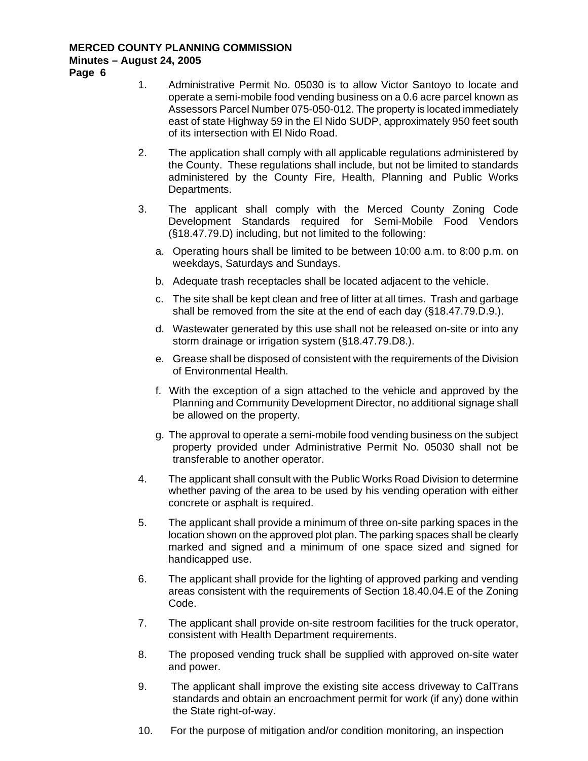# **MERCED COUNTY PLANNING COMMISSION Minutes – August 24, 2005**

**Page 6** 

- 1. Administrative Permit No. 05030 is to allow Victor Santoyo to locate and operate a semi-mobile food vending business on a 0.6 acre parcel known as Assessors Parcel Number 075-050-012. The property is located immediately east of state Highway 59 in the El Nido SUDP, approximately 950 feet south of its intersection with El Nido Road.
- 2. The application shall comply with all applicable regulations administered by the County. These regulations shall include, but not be limited to standards administered by the County Fire, Health, Planning and Public Works Departments.
- 3. The applicant shall comply with the Merced County Zoning Code Development Standards required for Semi-Mobile Food Vendors (§18.47.79.D) including, but not limited to the following:
	- a. Operating hours shall be limited to be between 10:00 a.m. to 8:00 p.m. on weekdays, Saturdays and Sundays.
	- b. Adequate trash receptacles shall be located adjacent to the vehicle.
	- c. The site shall be kept clean and free of litter at all times. Trash and garbage shall be removed from the site at the end of each day (§18.47.79.D.9.).
	- d. Wastewater generated by this use shall not be released on-site or into any storm drainage or irrigation system (§18.47.79.D8.).
	- e. Grease shall be disposed of consistent with the requirements of the Division of Environmental Health.
	- f. With the exception of a sign attached to the vehicle and approved by the Planning and Community Development Director, no additional signage shall be allowed on the property.
	- g. The approval to operate a semi-mobile food vending business on the subject property provided under Administrative Permit No. 05030 shall not be transferable to another operator.
- 4. The applicant shall consult with the Public Works Road Division to determine whether paving of the area to be used by his vending operation with either concrete or asphalt is required.
- 5. The applicant shall provide a minimum of three on-site parking spaces in the location shown on the approved plot plan. The parking spaces shall be clearly marked and signed and a minimum of one space sized and signed for handicapped use.
- 6. The applicant shall provide for the lighting of approved parking and vending areas consistent with the requirements of Section 18.40.04.E of the Zoning Code.
- 7. The applicant shall provide on-site restroom facilities for the truck operator, consistent with Health Department requirements.
- 8. The proposed vending truck shall be supplied with approved on-site water and power.
- 9. The applicant shall improve the existing site access driveway to CalTrans standards and obtain an encroachment permit for work (if any) done within the State right-of-way.
- 10. For the purpose of mitigation and/or condition monitoring, an inspection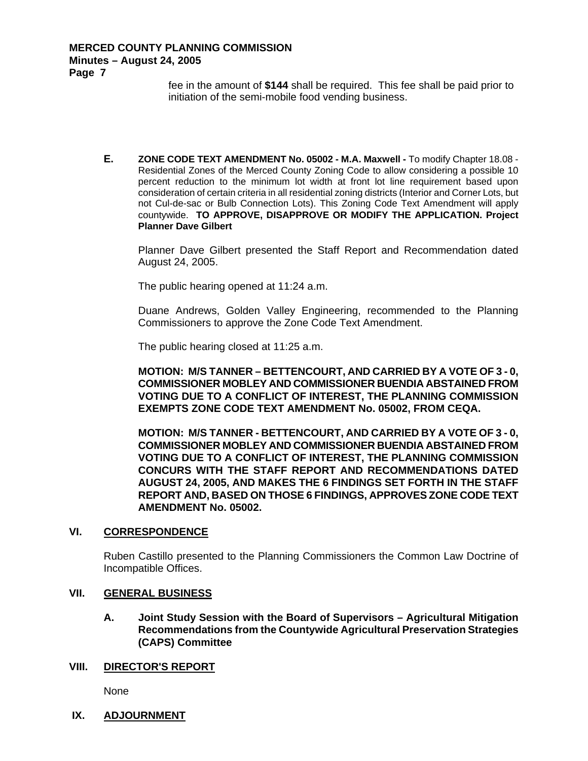fee in the amount of **\$144** shall be required. This fee shall be paid prior to initiation of the semi-mobile food vending business.

**E. ZONE CODE TEXT AMENDMENT No. 05002 - M.A. Maxwell -** To modify Chapter 18.08 - Residential Zones of the Merced County Zoning Code to allow considering a possible 10 percent reduction to the minimum lot width at front lot line requirement based upon consideration of certain criteria in all residential zoning districts (Interior and Corner Lots, but not Cul-de-sac or Bulb Connection Lots). This Zoning Code Text Amendment will apply countywide. **TO APPROVE, DISAPPROVE OR MODIFY THE APPLICATION. Project Planner Dave Gilbert** 

Planner Dave Gilbert presented the Staff Report and Recommendation dated August 24, 2005.

The public hearing opened at 11:24 a.m.

Duane Andrews, Golden Valley Engineering, recommended to the Planning Commissioners to approve the Zone Code Text Amendment.

The public hearing closed at 11:25 a.m.

**MOTION: M/S TANNER – BETTENCOURT, AND CARRIED BY A VOTE OF 3 - 0, COMMISSIONER MOBLEY AND COMMISSIONER BUENDIA ABSTAINED FROM VOTING DUE TO A CONFLICT OF INTEREST, THE PLANNING COMMISSION EXEMPTS ZONE CODE TEXT AMENDMENT No. 05002, FROM CEQA.** 

**MOTION: M/S TANNER - BETTENCOURT, AND CARRIED BY A VOTE OF 3 - 0, COMMISSIONER MOBLEY AND COMMISSIONER BUENDIA ABSTAINED FROM VOTING DUE TO A CONFLICT OF INTEREST, THE PLANNING COMMISSION CONCURS WITH THE STAFF REPORT AND RECOMMENDATIONS DATED AUGUST 24, 2005, AND MAKES THE 6 FINDINGS SET FORTH IN THE STAFF REPORT AND, BASED ON THOSE 6 FINDINGS, APPROVES ZONE CODE TEXT AMENDMENT No. 05002.**

#### **VI. CORRESPONDENCE**

Ruben Castillo presented to the Planning Commissioners the Common Law Doctrine of Incompatible Offices.

#### **VII. GENERAL BUSINESS**

**A. Joint Study Session with the Board of Supervisors – Agricultural Mitigation Recommendations from the Countywide Agricultural Preservation Strategies (CAPS) Committee** 

#### **VIII. DIRECTOR'S REPORT**

None

**IX. ADJOURNMENT**